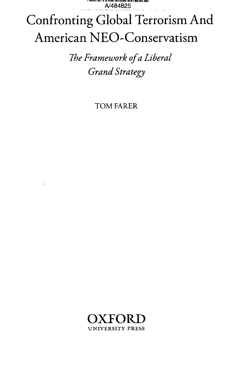. . . . . . . . . . . . . A/484825

## Confronting Global Terrorism And American NEO-Conservatism

The Framework of a Liberal **Grand Strategy** 

**TOM FARER** 

 $\ddot{\phantom{0}}$ 

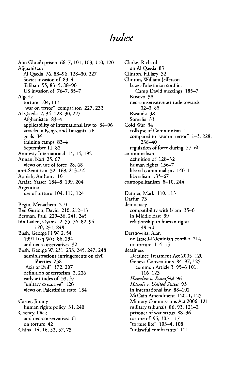## *Index*

Abu Ghraib prison 66-7, 101, 103, 110, 120 Afghanistan Al Qaeda 76, 83-96, 128-30, 227 Soviet invasion of 83—4 Taliban 55, 83-5, 88-96 US invasion of 76-7, 85-7 Algeria torture 104, 113 "war on terror" comparison 227, 232 Al Qaeda 2, 34, 128-30, 227 Afghanistan 83—4 applicability of international law to 84-96 attacks in Kenya and Tanzania 76 goals 34 training camps 83—4 September 11 82 Amnesty International 11,14,192 Annan, Kofi 25, 67 views on use of force 28, 68 anti-Semitism 32, 169,213-14 Appiah, Anthony 10 Arafat, Yasser 184-8,199,204 Argentina use of torture 104,111,124 Begin, Menachem 210 Ben Gurion, David 210, 212-13 Berman.Paul 229-36,241,245 bin Laden, Osama 2, 55, 76, 82, 94, 170,231,248 Bush, George H.W. 2, 54 1991 Iraq War 86,234 and neo-conservatives 32 Bush, George W. 231, 233, 245, 247, 248 administration's infringements on civil liberties 238 "Axis of Evil" 172,207 definition of terrorism 2, 226 early attitudes of 33, 37 "unitary executive" 126 views on Palestinian state 184 Carter, Jimmy human rights policy 31, 240 Cheney, Dick and neo-conservatives 61 on torture 42 China 14, 16, 52, 57, 73

Clarke, Richard on Al Qaeda 83 Clinton, Hillary 32 Clinton, William Jefferson Israel-Palestinian conflict Camp David meetings 185—7 Kosovo 38 neo-conservative attitude towards 32-3, 85 Rwanda 38 Somalia 33 Cold War 34 collapse of Communism 1 compared to "war on terror" 1—3, 228, 238-40 regulation of force during 57-60 communalism definition of 128—32 human rights 136—7 liberal communalism 140-1 liberalism 135—67 cosmopolitanism 8—10, 244 Danner, Mark 110, 113 Darfur 73 democracy compatibility with Islam 35-6 in Middle East 39 relationship to human rights 38-40 Dershowitz, Alan on Israeli-Palestinian conflict 214 on torture 114—15 detainees Detainee Treatment Act 2005 120 Geneva Conventions 84—97, 125 common Article 3 95-6 101, 116,123 *Hamdan v. Rumsfeld* 96 *Hamdiv. United States* 93 in international law 88-102 McCain Amendment 120-1, 125 Military Commissions Act 2006 121 military tribunals 86,93,121—2 prisoner of war status 88—96 torture of 95, 103-117 "torture lite" 103-4,108 "unlawful combatants" 121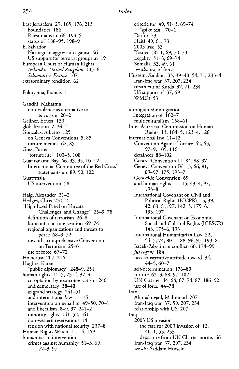East Jerusalem 29, 165, 176,213 boundaries 186 Palestinians in 66, 193-5 status of 188-95, 198-9 El Salvador Nicaraguan aggression against 46 US support for terrorist groups in 19 European Court of Human Rights *Ireland v. United Kingdom* 105—6 *Selmouni v. France* 107 extraordinary rendition 62 Fukuyama, Francis 1 Gandhi, Mahatma non-violence as alternative to terrorism 20—2 Gellner, Ernest 133 globalization 2, 34—5 Gonzalez, Alberto 125 on Geneva Conventions 5, 85 torture memos 62, 85 Goss, Porter "torture lite" 103-5, 108 Guantanamo Bay 66, 93, 95, 10-12 International Committee of the Red Cross' statements on 89, 90, 102 Guatemala US intervention 58 Haig, Alexander 31-2 Hedges, Chris 231-2 "High Level Panel on Threats, Challenges, and Change" 25—9, 78 definition of terrorism 26—8 humanitarian intervention 69—74 regional organizations and threats to peace 68-9, 72 toward a comprehensive Convention on Terrorism 25—6 use of force 67-72 Holocaust 207, 216 Hughes, Karen public diplomacy" 248-9, 251<sup></sup> human rights 11-5,23-4,37-41 co-optation by neo-conservatism 240 and democracy 38—40 as grand strategy 241—51 and international law 11-15 intervention on behalf of 49-50, 70-1 and liberalism 8-9, 37, 241-2 minority rights 141—52,161 non-western reservations 14 tension with national security 237—8 Human Rights Watch 11,14,169 humanitarian intervention crimes against humanity 51—3,69, 72-3, 97

criteria for 49, 51-3, 69-74 "spike test" 70—1 Darfur 73 Haiti 49, 61, 73 2003 Iraq 53 Kosovo 50-1,69,70,73 Legality 51-3,69-74 Somalia 33, 49, 61 *see also* use of force Hussein, Saddam 35, 39-40, 54, 71, 233-4 Iran-Iraq war 37, 207, 234 treatment of Kurds 37, 71, 234 US support of 37, 59 WMDs 53 immigrants/immigration .integration of 162-7 multiculturalism 158—61 Inter-American Commission on Human Rights 13, 104-5, 123-4, 126 international law 11—12 Convention Against Torture 42, 63, 97-9, 105, 116 detainees 88-102 Geneva Convention III 84, 88-97 Geneva Convention IV 15, *66,* 81, 89-97, 175, 193-7 Genocide Convention 69 and human rights 11-15, 43-4, 97, 193-8 International Covenant on Civil and Political Rights (ICCPR) 13, 39, 42,63,81,97, 142-3, 175-6, 193, 197 International Covenant on Economic, Social and Cultural Rights (ICESCR) 143, 175-6, 193 International Humanitarian Law 52, 54-5, 74, 80-1, 88-96, 97, 193-8 Israeli-Palestinian conflict 66, 174-99 *jus cogens* 184 neo-conservative attitude toward 34, 44-5, 60-7 self-determination 176-80 torture 62-3, 88, 97-102 UN Charter 44-64, 67-74, 87, 186-92 use of force 44-78 Iran Ahmedinejad, Mahmood 207 Iran-Iraq war 37, 59, 207, 234 relationship with US 207 Iraq 2003 US invasion the case for 2003 invasion of 12, 40-1,53,233 departure from UN Charter norms *66* Iran-Iraq war 37, 207, 234 *see also* Saddam Hussein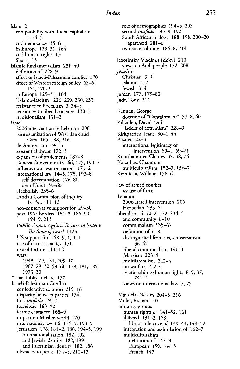Islam 2 compatibility with liberal capitalism 1, 34-5 and democracy 35-6 in Europe 129-31, 164 and human rights 13 Sharia 13 Islamic fundamentalism 231—40 definition of 228—9 effect of Israeli-Palestinian conflict 170 effect of Western foreign policy 65-6, 164, 170-1 in Europe 129-31, 164 "Islamo-fascism" 226, 229, 230, 233 resistance to liberalism 3, 34-5 tension with liberal societies 130—1 traditionalism 131—2 Israel 2006 intervention in Lebanon 206 bantustanization of West Bank and Gaza 165, 188, 216 de-Arabization 194—5 existential threat 172—3 expansion of settlements 187—8 Geneva Convention IV 66, 175, 193-7 influence on "war on terror" 171-2 international law 14-5, 175, 193-8 self-determination 176-80 use of force 59—60 Hezbollah 235-6 Landau Commission of Inquiry l4-5n, 111-12 neo-conservative support for 29-30 post-1967 borders 181-3,186-90, 194-9, 213 *Public Comm. Against Torture in Israel v The State of Israel* 112n US support for 168-9,170-1 use of terrorist tactics 171 use of torture 111-12 wars 1948 179, 181,209-10 1967 29-30, 59-60, 178, 181, 189 1973 30 "Israel lobby" debate 170 Israeli-Palestinian Conflict confederative solution 215-16 disparity between parties 174 *first intifada* 191-2 forfeiture 183-92 iconic character 168-9 impact on Muslim world 170 international law 66, 174—5, 193—9 Jerusalem 176, 181-2, 186, 194-5, 199 internationalization 182, 192 and Jewish identity 182,199 and Palestinian identity 182, 186 obstacles to peace 171-5, 212-13

role of demographics 194-5,205 second *intifada* 185-9,192 South African analogy 188, 198, 200-20 apartheid 201-6 two-state solution 186—8,214 Jabotinsky, Vladimir (Ze'ev) 210 views on Arab people 172, 208 *jihadists* Christian 3—4 Islamic 1-2 Jewish 3—4 Jordan 177, 179-80 Judt, Tony 214 Kennan, George doctrine of "Containment" 57-8, 60 Kilcullen, David 244 "ladder of extremism" 228—9 Kirkpatrick, Jeane 30-1,44 Kosovo 22—3 international legitimacy of intervention 50-1, 69-71 Krauthammer, Charles 32, 38, 75 Kukathas, Chandran multiculturalism 152-3, 156-7 Kymlicka, William 158-61 law of armed conflict *see* use of force Lebanon 2006 Israeli intervention 206 Hezbollah 235-6 liberalism 6-10,21,22,234-5 and community 8—10 communalism 135-67 definition of 6—8 distinguished from neo-conservatism 36-42 liberal communalism 140-1 Marxism 223—4 multilateralism 242—4 on warfare 222—4 relationship to human rights 8-9, 37, 241-2 views on international law 7, 75 Mandela, Nelson 204-5, 216 Miller, Richard 10 minority groups human rights of 141—52, 161 illiberal 131-2, 158 liberal tolerance of 139-41, 149-52 integration and assimilation of 162-7 multiculturalism definition of 147-8 European 159, 164—5 French 147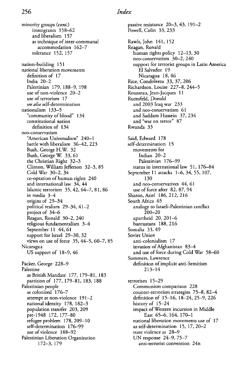minority groups *(cont.)* immigrants 158—62 and liberalism 157 as technique of inter-communal accommodation 162—7 tolerance 152, 157 nation-building 151 national liberation movements definition of 17 India 20-2 Palestinian 179, 188-9, 198 use of non-violence 20—2 use of terrorism 17 *see also* self-determination nationalism 133—5 "community of blood" 134 constitutional nation definition of 134 neo-conservatism "American Universalism" 240—1 battle with liberalism 36—42, 223 Bush, George H.W. 32 Bush, George W. 33,61 the Christian Right 32-3 Clinton, William Jefferson 32-3, 85 Cold War 30-2, 34 co-optation of human rights 240 and international law 34, *44* Islamic terrorism 35, 42, 64-7, 81, 86 in media 3—4 origins of 29-34 political realism 29-34, 41-2 project of 34—6 Reagan, Ronald 30-2, 240 religious fundamentalism 3—4 September 11 44, 61 support for Israel 29—30, 32 views on use of force  $35, 44-5, 60-7, 85$ Nicaragua US support of 18-9, 46 Packer, George 228-9 Palestine as British Mandate 177, 179-81, 183 partition of 177, 179-81, 183, 188 Palestinian people as colonized 176—7 attempt at non-violence 191—2 national identity 178,182-3 population transfer 203, 209 pre-1948 172, 177-80 refugee problem 178, 209-10 self-determination 176—99 use of violence 188—92 Palestinian Liberation Organization 172-3, 179

passive resistance 20-3,43, 191-2 Powell, Colin 33, 233 Rawls.John 141, 152 Reagan, Ronald human rights policy 12—13,30 neo-conservatism 30—2, 240 support for terrorist groups in Latin America El Salvador 19 Nicaragua 18,46 Rice, Condoleeza 33, 37, 206 Richardson, Louise 227-8, 244-5 Rousseau, Jean-Jacques 11 Rumsfeld, Donald and 2003 Iraq war 233 and neo-conservatism 61 and Saddam Hussein 37, 234 and "war on terror" 87 Rwanda 33 Said, Edward 178 self-determination 15 movements for Indian 20-2 Palestinian 176-99 status in international law 51,176—84 September 11 attacks 1-6, 34, 55, 107, 130 and neo-conservatives 44, 61 use of force after 82, 87, 94 Sharon, Ariel 186, 212, 216 South Africa 65 analogy to Israeli-Palestinian conflict 200-20 apartheid 20, 201-6 bantustans 188, 216 Somalia 33, 49 Soviet Union anti-colonialism 17 invasion of Afghanistan 83—4 and use of force during Cold War 58-60 Summers, Lawrence definition of implicit anti-Semitism 213-14 terrorism 15—29 Communism comparison 228 counter-terrorism strategies 75—8, 82—4 definition of 15-16, 18-24, 25-9, 226 history of 15-24 impact of Western incursion in Middle East 65-6, 164, 170-1 national liberation movements use of 17 as self-determination 15,17,20—2 state violence as 28-9 UN response 24-9, 75-7 anti-terrorist convention 24n